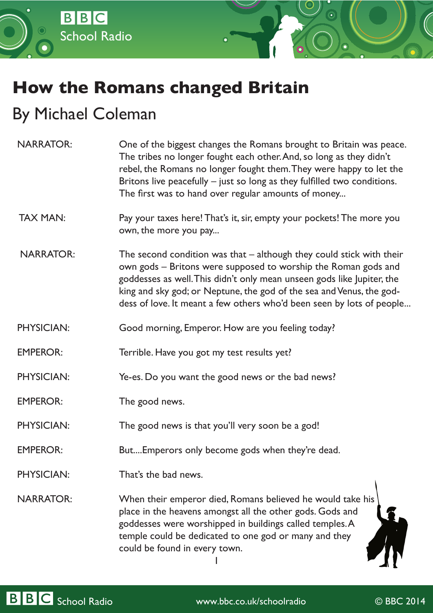

## **How the Romans changed Britain**

## By Michael Coleman

| <b>NARRATOR:</b>  | One of the biggest changes the Romans brought to Britain was peace.<br>The tribes no longer fought each other. And, so long as they didn't<br>rebel, the Romans no longer fought them. They were happy to let the<br>Britons live peacefully $-$ just so long as they fulfilled two conditions.<br>The first was to hand over regular amounts of money              |  |
|-------------------|---------------------------------------------------------------------------------------------------------------------------------------------------------------------------------------------------------------------------------------------------------------------------------------------------------------------------------------------------------------------|--|
| <b>TAX MAN:</b>   | Pay your taxes here! That's it, sir, empty your pockets! The more you<br>own, the more you pay                                                                                                                                                                                                                                                                      |  |
| <b>NARRATOR:</b>  | The second condition was that $-$ although they could stick with their<br>own gods - Britons were supposed to worship the Roman gods and<br>goddesses as well. This didn't only mean unseen gods like Jupiter, the<br>king and sky god; or Neptune, the god of the sea and Venus, the god-<br>dess of love. It meant a few others who'd been seen by lots of people |  |
| <b>PHYSICIAN:</b> | Good morning, Emperor. How are you feeling today?                                                                                                                                                                                                                                                                                                                   |  |
| <b>EMPEROR:</b>   | Terrible. Have you got my test results yet?                                                                                                                                                                                                                                                                                                                         |  |
| <b>PHYSICIAN:</b> | Ye-es. Do you want the good news or the bad news?                                                                                                                                                                                                                                                                                                                   |  |
| <b>EMPEROR:</b>   | The good news.                                                                                                                                                                                                                                                                                                                                                      |  |
| <b>PHYSICIAN:</b> | The good news is that you'll very soon be a god!                                                                                                                                                                                                                                                                                                                    |  |
| <b>EMPEROR:</b>   | But Emperors only become gods when they're dead.                                                                                                                                                                                                                                                                                                                    |  |
| <b>PHYSICIAN:</b> | That's the bad news.                                                                                                                                                                                                                                                                                                                                                |  |
| <b>NARRATOR:</b>  | When their emperor died, Romans believed he would take his<br>place in the heavens amongst all the other gods. Gods and<br>goddesses were worshipped in buildings called temples.A<br>temple could be dedicated to one god or many and they<br>could be found in every town.                                                                                        |  |

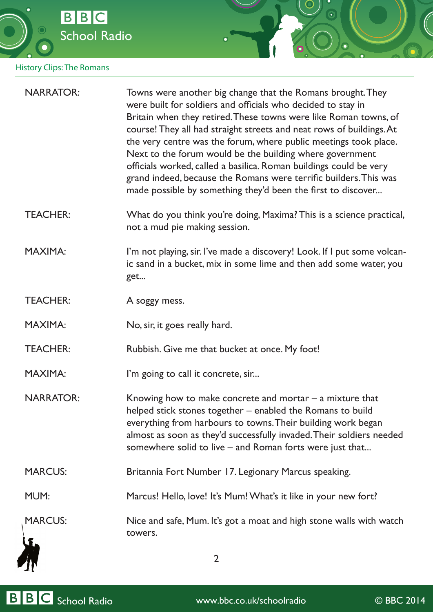

## History Clips: The Romans

| <b>NARRATOR:</b> | Towns were another big change that the Romans brought. They<br>were built for soldiers and officials who decided to stay in<br>Britain when they retired. These towns were like Roman towns, of<br>course! They all had straight streets and neat rows of buildings. At<br>the very centre was the forum, where public meetings took place.<br>Next to the forum would be the building where government<br>officials worked, called a basilica. Roman buildings could be very<br>grand indeed, because the Romans were terrific builders. This was<br>made possible by something they'd been the first to discover |  |
|------------------|--------------------------------------------------------------------------------------------------------------------------------------------------------------------------------------------------------------------------------------------------------------------------------------------------------------------------------------------------------------------------------------------------------------------------------------------------------------------------------------------------------------------------------------------------------------------------------------------------------------------|--|
| <b>TEACHER:</b>  | What do you think you're doing, Maxima? This is a science practical,<br>not a mud pie making session.                                                                                                                                                                                                                                                                                                                                                                                                                                                                                                              |  |
| <b>MAXIMA:</b>   | I'm not playing, sir. I've made a discovery! Look. If I put some volcan-<br>ic sand in a bucket, mix in some lime and then add some water, you<br>get                                                                                                                                                                                                                                                                                                                                                                                                                                                              |  |
| <b>TEACHER:</b>  | A soggy mess.                                                                                                                                                                                                                                                                                                                                                                                                                                                                                                                                                                                                      |  |
| <b>MAXIMA:</b>   | No, sir, it goes really hard.                                                                                                                                                                                                                                                                                                                                                                                                                                                                                                                                                                                      |  |
| <b>TEACHER:</b>  | Rubbish. Give me that bucket at once. My foot!                                                                                                                                                                                                                                                                                                                                                                                                                                                                                                                                                                     |  |
| <b>MAXIMA:</b>   | I'm going to call it concrete, sir                                                                                                                                                                                                                                                                                                                                                                                                                                                                                                                                                                                 |  |
| <b>NARRATOR:</b> | Knowing how to make concrete and mortar $-$ a mixture that<br>helped stick stones together - enabled the Romans to build<br>everything from harbours to towns. Their building work began<br>almost as soon as they'd successfully invaded. Their soldiers needed<br>somewhere solid to live – and Roman forts were just that                                                                                                                                                                                                                                                                                       |  |
| <b>MARCUS:</b>   | Britannia Fort Number 17. Legionary Marcus speaking.                                                                                                                                                                                                                                                                                                                                                                                                                                                                                                                                                               |  |
| MUM:             | Marcus! Hello, love! It's Mum! What's it like in your new fort?                                                                                                                                                                                                                                                                                                                                                                                                                                                                                                                                                    |  |
| <b>MARCUS:</b>   | Nice and safe, Mum. It's got a moat and high stone walls with watch<br>towers.                                                                                                                                                                                                                                                                                                                                                                                                                                                                                                                                     |  |
|                  | $\overline{2}$                                                                                                                                                                                                                                                                                                                                                                                                                                                                                                                                                                                                     |  |

 $\bigcirc$ 

 $\bigcirc$ 



BBC School Radio www.bbc.co.uk/schoolradio © BBC 2014